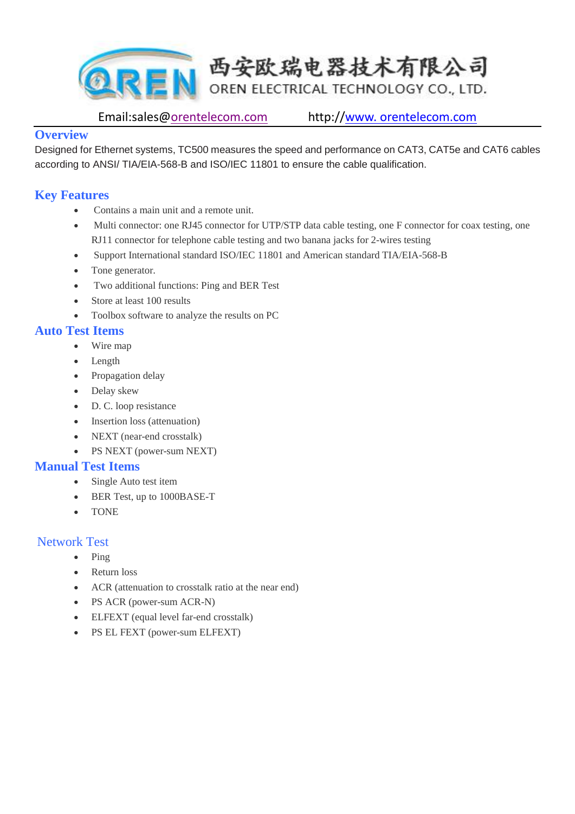

Email:sales@orentelecom.com http://www. orentelecom.com

#### **Overview**

Designed for Ethernet systems, TC500 measures the speed and performance on CAT3, CAT5e and CAT6 cables according to ANSI/ TIA/EIA-568-B and ISO/IEC 11801 to ensure the cable qualification.

# **Key Features**

- Contains a main unit and a remote unit.
- Multi connector: one RJ45 connector for UTP/STP data cable testing, one F connector for coax testing, one RJ11 connector for telephone cable testing and two banana jacks for 2-wires testing
- Support International standard ISO/IEC 11801 and American standard TIA/EIA-568-B
- Tone generator.
- Two additional functions: Ping and BER Test
- Store at least 100 results
- Toolbox software to analyze the results on PC

# **Auto Test Items**

- Wire map
- Length
- Propagation delay
- Delay skew
- D. C. loop resistance
- Insertion loss (attenuation)
- NEXT (near-end crosstalk)
- PS NEXT (power-sum NEXT)

### **Manual Test Items**

- Single Auto test item
- BER Test, up to 1000BASE-T
- TONE

#### Network Test

- $\bullet$  Ping
- Return loss
- ACR (attenuation to crosstalk ratio at the near end)
- PS ACR (power-sum ACR-N)
- ELFEXT (equal level far-end crosstalk)
- PS EL FEXT (power-sum ELFEXT)